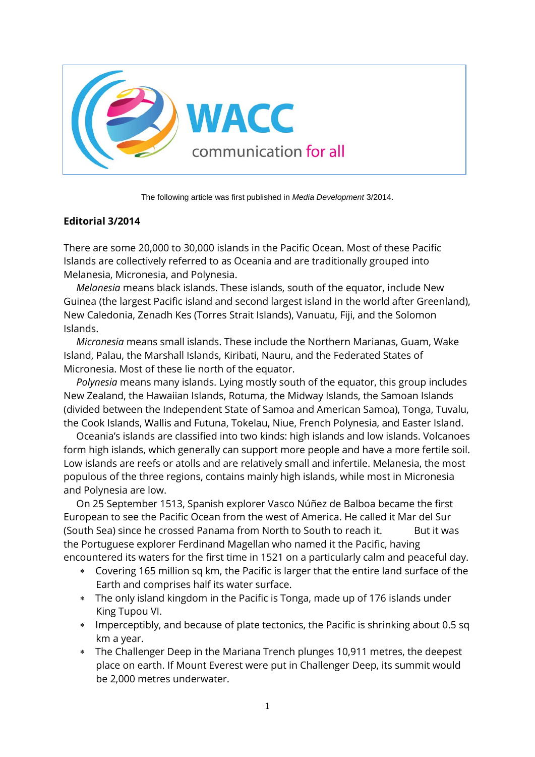

The following article was first published in *Media Development* 3/2014.

## **Editorial 3/2014**

There are some 20,000 to 30,000 islands in the Pacific Ocean. Most of these Pacific Islands are collectively referred to as Oceania and are traditionally grouped into Melanesia, Micronesia, and Polynesia.

*Melanesia* means black islands. These islands, south of the equator, include New Guinea (the largest Pacific island and second largest island in the world after Greenland), New Caledonia, Zenadh Kes (Torres Strait Islands), Vanuatu, Fiji, and the Solomon Islands.

*Micronesia* means small islands. These include the Northern Marianas, Guam, Wake Island, Palau, the Marshall Islands, Kiribati, Nauru, and the Federated States of Micronesia. Most of these lie north of the equator.

*Polynesia* means many islands. Lying mostly south of the equator, this group includes New Zealand, the Hawaiian Islands, Rotuma, the Midway Islands, the Samoan Islands (divided between the Independent State of Samoa and American Samoa), Tonga, Tuvalu, the Cook Islands, Wallis and Futuna, Tokelau, Niue, French Polynesia, and Easter Island.

Oceania's islands are classified into two kinds: high islands and low islands. Volcanoes form high islands, which generally can support more people and have a more fertile soil. Low islands are reefs or atolls and are relatively small and infertile. Melanesia, the most populous of the three regions, contains mainly high islands, while most in Micronesia and Polynesia are low.

On 25 September 1513, Spanish explorer Vasco Núñez de Balboa became the first European to see the Pacific Ocean from the west of America. He called it Mar del Sur (South Sea) since he crossed Panama from North to South to reach it. But it was the Portuguese explorer Ferdinand Magellan who named it the Pacific, having encountered its waters for the first time in 1521 on a particularly calm and peaceful day.

- Covering 165 million sq km, the Pacific is larger that the entire land surface of the Earth and comprises half its water surface.
- The only island kingdom in the Pacific is Tonga, made up of 176 islands under King Tupou VI.
- Imperceptibly, and because of plate tectonics, the Pacific is shrinking about 0.5 sq km a year.
- The Challenger Deep in the Mariana Trench plunges 10,911 metres, the deepest place on earth. If Mount Everest were put in Challenger Deep, its summit would be 2,000 metres underwater.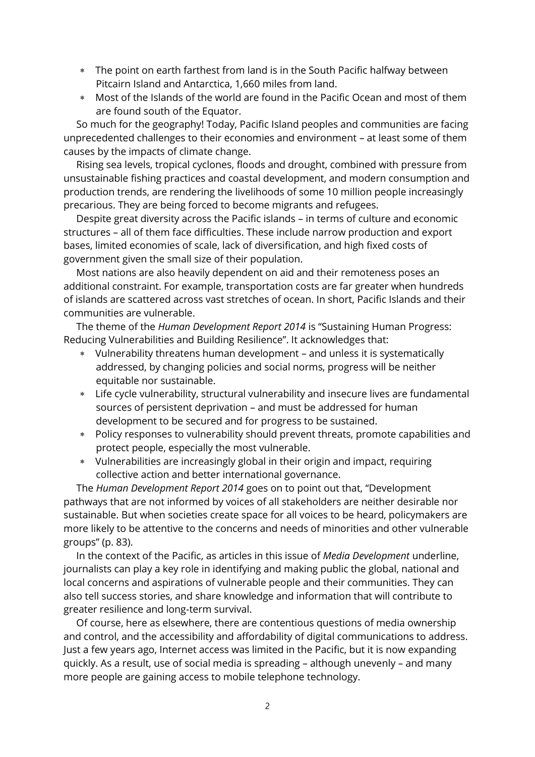- The point on earth farthest from land is in the South Pacific halfway between Pitcairn Island and Antarctica, 1,660 miles from land.
- Most of the Islands of the world are found in the Pacific Ocean and most of them are found south of the Equator.

So much for the geography! Today, Pacific Island peoples and communities are facing unprecedented challenges to their economies and environment – at least some of them causes by the impacts of climate change.

Rising sea levels, tropical cyclones, floods and drought, combined with pressure from unsustainable fishing practices and coastal development, and modern consumption and production trends, are rendering the livelihoods of some 10 million people increasingly precarious. They are being forced to become migrants and refugees.

Despite great diversity across the Pacific islands – in terms of culture and economic structures – all of them face difficulties. These include narrow production and export bases, limited economies of scale, lack of diversification, and high fixed costs of government given the small size of their population.

Most nations are also heavily dependent on aid and their remoteness poses an additional constraint. For example, transportation costs are far greater when hundreds of islands are scattered across vast stretches of ocean. In short, Pacific Islands and their communities are vulnerable.

The theme of the *Human Development Report 2014* is "Sustaining Human Progress: Reducing Vulnerabilities and Building Resilience". It acknowledges that:

- Vulnerability threatens human development and unless it is systematically addressed, by changing policies and social norms, progress will be neither equitable nor sustainable.
- Life cycle vulnerability, structural vulnerability and insecure lives are fundamental sources of persistent deprivation – and must be addressed for human development to be secured and for progress to be sustained.
- Policy responses to vulnerability should prevent threats, promote capabilities and protect people, especially the most vulnerable.
- Vulnerabilities are increasingly global in their origin and impact, requiring collective action and better international governance.

The *Human Development Report 2014* goes on to point out that, "Development pathways that are not informed by voices of all stakeholders are neither desirable nor sustainable. But when societies create space for all voices to be heard, policymakers are more likely to be attentive to the concerns and needs of minorities and other vulnerable groups" (p. 83).

In the context of the Pacific, as articles in this issue of *Media Development* underline, journalists can play a key role in identifying and making public the global, national and local concerns and aspirations of vulnerable people and their communities. They can also tell success stories, and share knowledge and information that will contribute to greater resilience and long-term survival.

Of course, here as elsewhere, there are contentious questions of media ownership and control, and the accessibility and affordability of digital communications to address. Just a few years ago, Internet access was limited in the Pacific, but it is now expanding quickly. As a result, use of social media is spreading – although unevenly – and many more people are gaining access to mobile telephone technology.